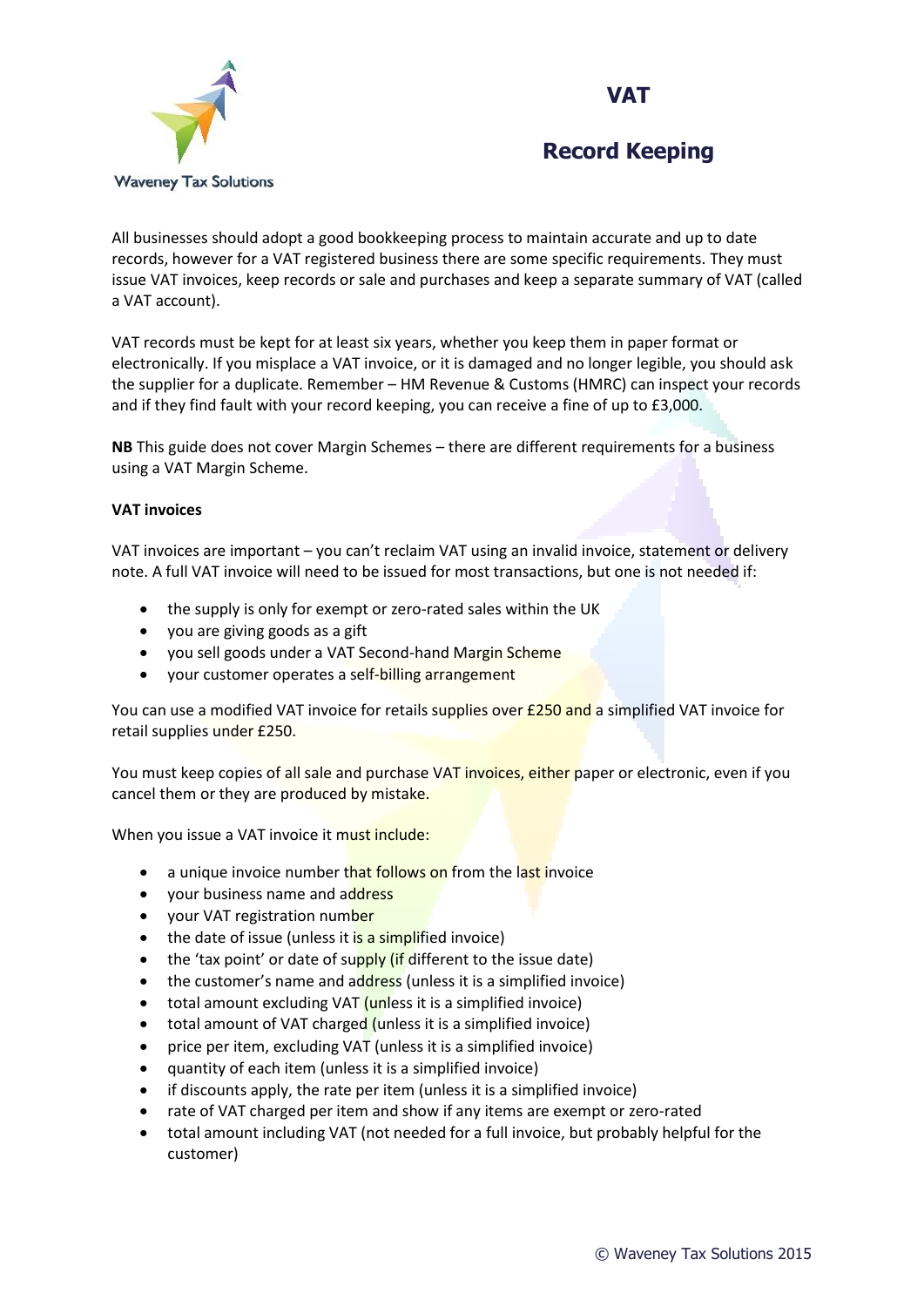



All businesses should adopt a good bookkeeping process to maintain accurate and up to date records, however for a VAT registered business there are some specific requirements. They must issue VAT invoices, keep records or sale and purchases and keep a separate summary of VAT (called a VAT account).

VAT records must be kept for at least six years, whether you keep them in paper format or electronically. If you misplace a VAT invoice, or it is damaged and no longer legible, you should ask the supplier for a duplicate. Remember – HM Revenue & Customs (HMRC) can inspect your records and if they find fault with your record keeping, you can receive a fine of up to £3,000.

**NB** This guide does not cover Margin Schemes – there are different requirements for a business using a VAT Margin Scheme.

#### **VAT invoices**

VAT invoices are important – you can't reclaim VAT using an invalid invoice, statement or delivery note. A full VAT invoice will need to be issued for most transactions, but one is not needed if:

- the supply is only for exempt or zero-rated sales within the UK
- you are giving goods as a gift
- you sell goods under a VAT Second-hand Margin Scheme
- your customer operates a self-billing arrangement

You can use a modified VAT invoice for retails supplies over £250 and a simplified VAT invoice for retail supplies under £250.

You must keep copies of all sale and purchase VAT invoices, either paper or electronic, even if you cancel them or they are produced by mistake.

When you issue a VAT invoice it must include:

- a unique invoice number that follows on from the last invoice
- your business name and address
- your VAT registration number
- $\bullet$  the date of issue (unless it is a simplified invoice)
- $\bullet$  the 'tax point' or date of supply (if different to the issue date)
- the customer's name and address (unless it is a simplified invoice)
- total amount excluding VAT (unless it is a simplified invoice)
- total amount of VAT charged (unless it is a simplified invoice)
- price per item, excluding  $VAT$  (unless it is a simplified invoice)
- quantity of each item (unless it is a simplified invoice)
- if discounts apply, the rate per item (unless it is a simplified invoice)
- rate of VAT charged per item and show if any items are exempt or zero-rated
- total amount including VAT (not needed for a full invoice, but probably helpful for the customer)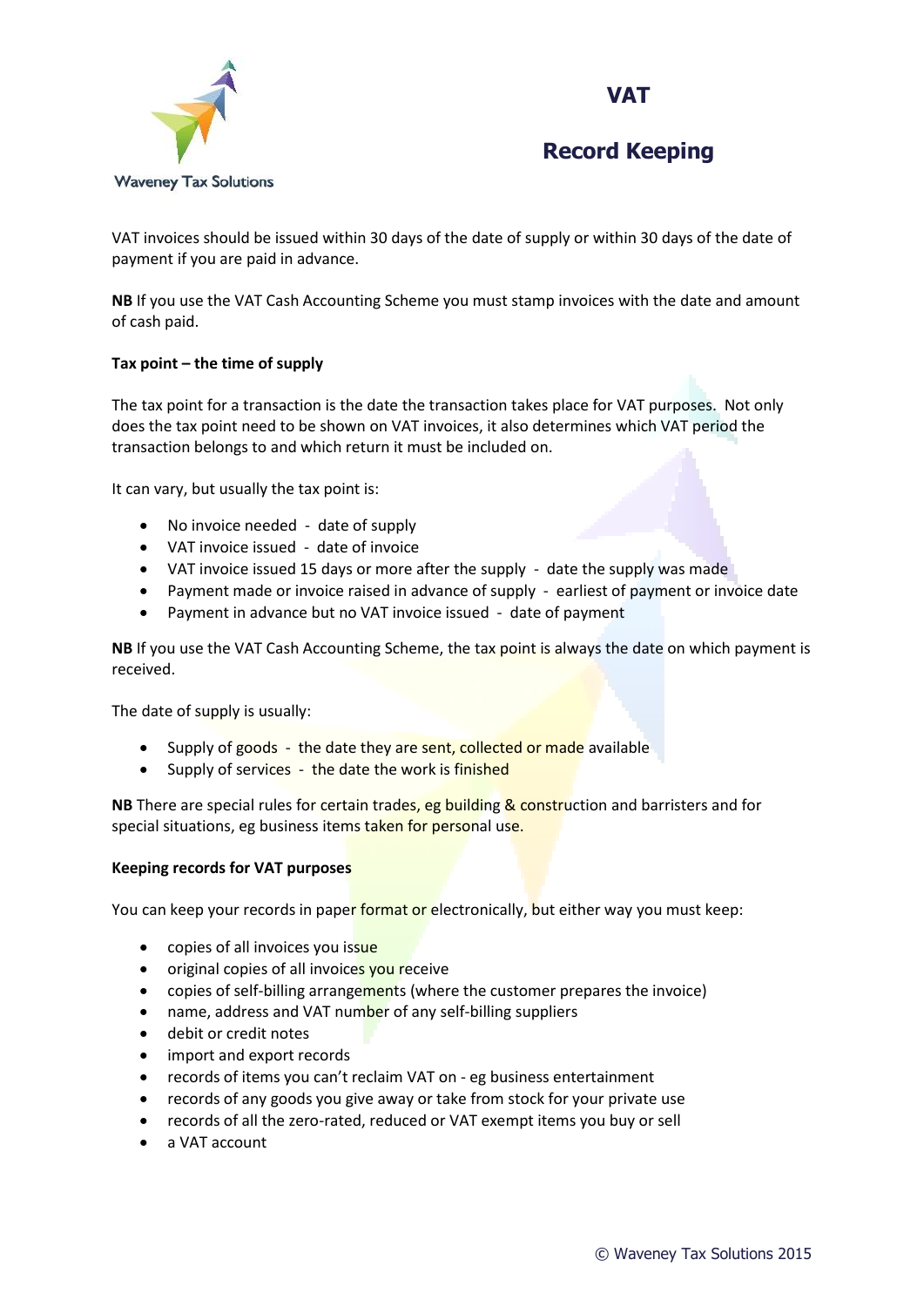



VAT invoices should be issued within 30 days of the date of supply or within 30 days of the date of payment if you are paid in advance.

**NB** If you use the VAT Cash Accounting Scheme you must stamp invoices with the date and amount of cash paid.

### **Tax point – the time of supply**

The tax point for a transaction is the date the transaction takes place for VAT purposes. Not only does the tax point need to be shown on VAT invoices, it also determines which VAT period the transaction belongs to and which return it must be included on.

It can vary, but usually the tax point is:

- No invoice needed date of supply
- VAT invoice issued date of invoice
- VAT invoice issued 15 days or more after the supply date the supply was made
- Payment made or invoice raised in advance of supply earliest of payment or invoice date
- Payment in advance but no VAT invoice issued date of payment

**NB** If you use the VAT Cash Accounting Scheme, the tax point is always the date on which payment is received.

The date of supply is usually:

- Supply of goods the date they are sent, collected or made available
- Supply of services the date the work is finished

**NB** There are special rules for certain trades, eg building & construction and barristers and for special situations, eg business items taken for personal use.

#### **Keeping records for VAT purposes**

You can keep your records in paper format or electronically, but either way you must keep:

- copies of all invoices you issue
- original copies of all invoices you receive
- copies of self-billing arrangements (where the customer prepares the invoice)
- name, address and VAT number of any self-billing suppliers
- debit or credit notes
- import and export records
- records of items you can't reclaim VAT on eg business entertainment
- records of any goods you give away or take from stock for your private use
- records of all the zero-rated, reduced or VAT exempt items you buy or sell
- a VAT account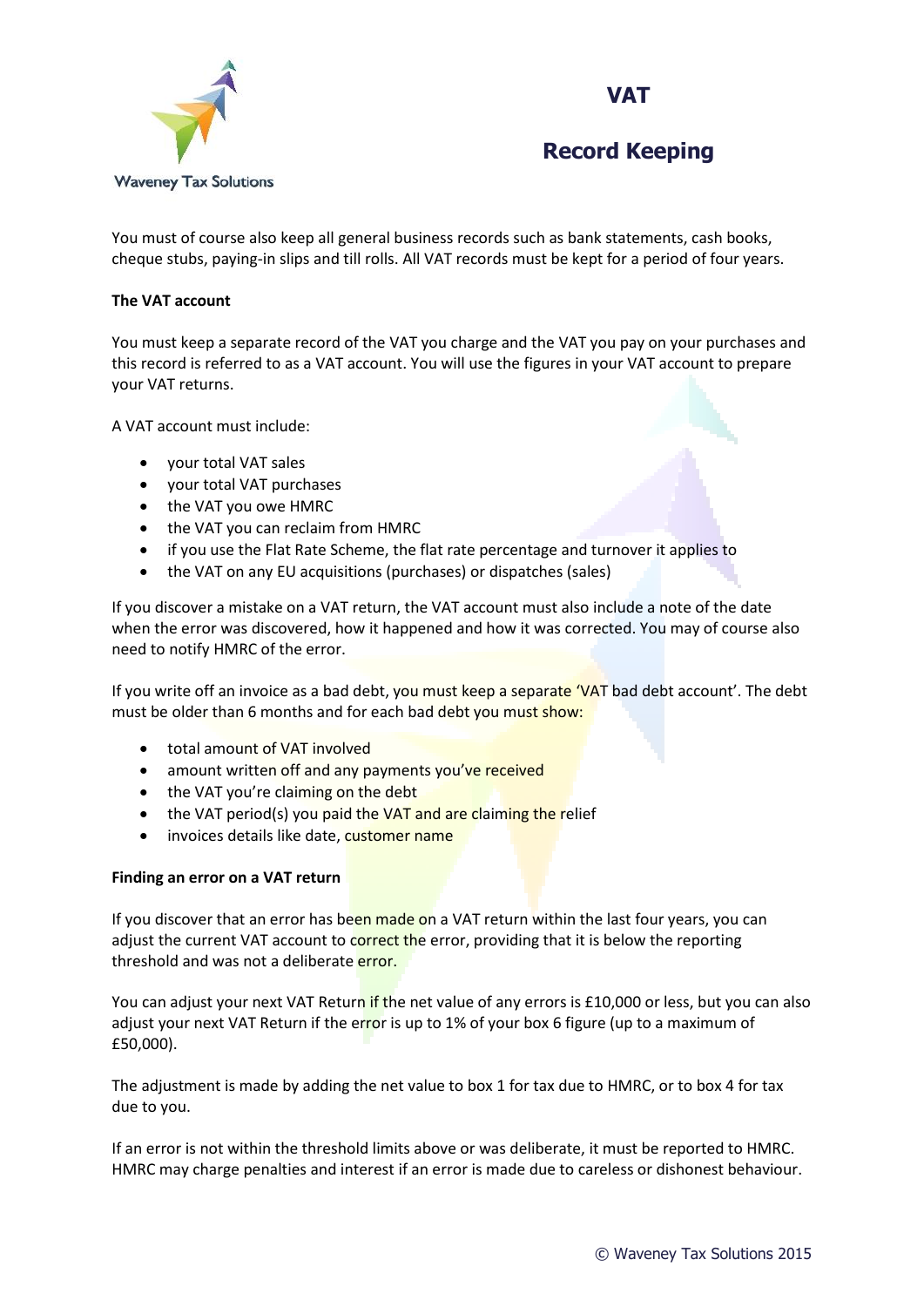



You must of course also keep all general business records such as bank statements, cash books, cheque stubs, paying-in slips and till rolls. All VAT records must be kept for a period of four years.

#### **The VAT account**

You must keep a separate record of the VAT you charge and the VAT you pay on your purchases and this record is referred to as a VAT account. You will use the figures in your VAT account to prepare your VAT returns.

A VAT account must include:

- your total VAT sales
- your total VAT purchases
- the VAT you owe HMRC
- the VAT you can reclaim from HMRC
- if you use the Flat Rate Scheme, the flat rate percentage and turnover it applies to
- the VAT on any EU acquisitions (purchases) or dispatches (sales)

If you discover a mistake on a VAT return, the VAT account must also include a note of the date when the error was discovered, how it happened and how it was corrected. You may of course also need to notify HMRC of the error.

If you write off an invoice as a bad debt, you must keep a separate 'VAT bad debt account'. The debt must be older than 6 months and for each bad debt you must show:

- total amount of VAT involved
- amount written off and any payments you've received
- the VAT you're claiming on the debt
- $\bullet$  the VAT period(s) you paid the VAT and are claiming the relief
- invoices details like date, customer name

#### **Finding an error on a VAT return**

If you discover that an error has been made on a VAT return within the last four years, you can adjust the current VAT account to correct the error, providing that it is below the reporting threshold and was not a deliberate error.

You can adjust your next VAT Return if the net value of any errors is £10,000 or less, but you can also adjust your next VAT Return if the error is up to 1% of your box 6 figure (up to a maximum of £50,000).

The adjustment is made by adding the net value to box 1 for tax due to HMRC, or to box 4 for tax due to you.

If an error is not within the threshold limits above or was deliberate, it must be reported to HMRC. HMRC may charge penalties and interest if an error is made due to careless or dishonest behaviour.